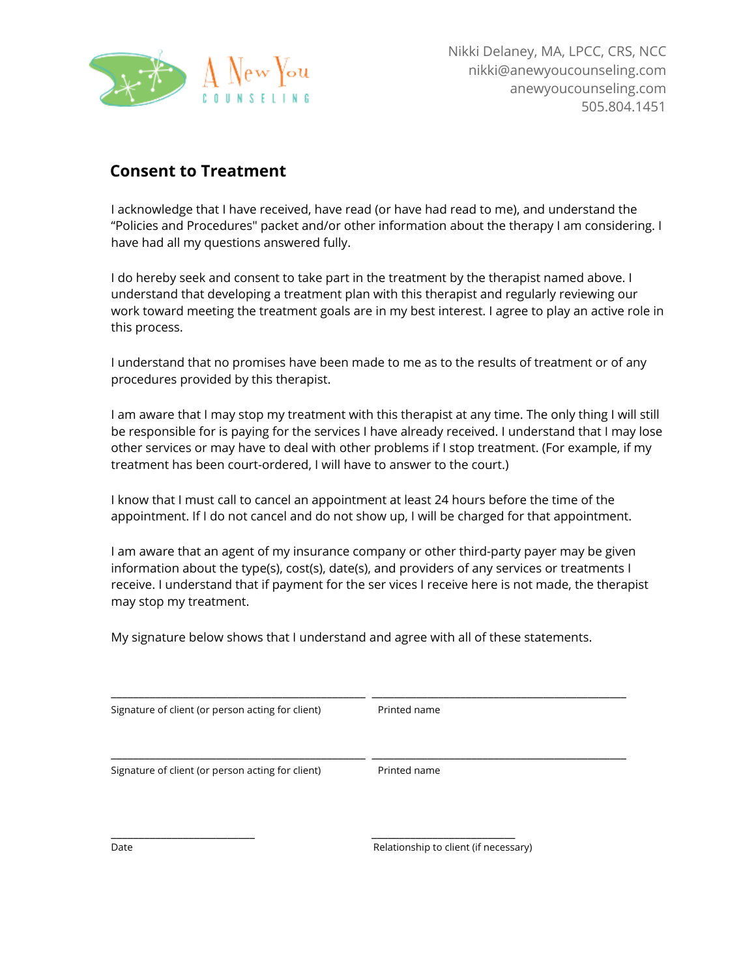

## **Consent to Treatment**

I acknowledge that I have received, have read (or have had read to me), and understand the "Policies and Procedures" packet and/or other information about the therapy I am considering. I have had all my questions answered fully.

I do hereby seek and consent to take part in the treatment by the therapist named above. I understand that developing a treatment plan with this therapist and regularly reviewing our work toward meeting the treatment goals are in my best interest. I agree to play an active role in this process.

I understand that no promises have been made to me as to the results of treatment or of any procedures provided by this therapist.

I am aware that I may stop my treatment with this therapist at any time. The only thing I will still be responsible for is paying for the services I have already received. I understand that I may lose other services or may have to deal with other problems if I stop treatment. (For example, if my treatment has been court-ordered, I will have to answer to the court.)

I know that I must call to cancel an appointment at least 24 hours before the time of the appointment. If I do not cancel and do not show up, I will be charged for that appointment.

I am aware that an agent of my insurance company or other third-party payer may be given information about the type(s), cost(s), date(s), and providers of any services or treatments I receive. I understand that if payment for the ser vices I receive here is not made, the therapist may stop my treatment.

My signature below shows that I understand and agree with all of these statements.

| Signature of client (or person acting for client) | Printed name |  |
|---------------------------------------------------|--------------|--|
| Signature of client (or person acting for client) | Printed name |  |
|                                                   |              |  |

\_\_\_\_\_\_\_\_\_\_\_\_\_\_\_\_\_\_\_\_\_\_\_\_\_\_ \_\_\_\_\_\_\_\_\_\_\_\_\_\_\_\_\_\_\_\_\_\_\_\_\_\_

Date **Date** *Date* *Date Relationship to client (if necessary)*